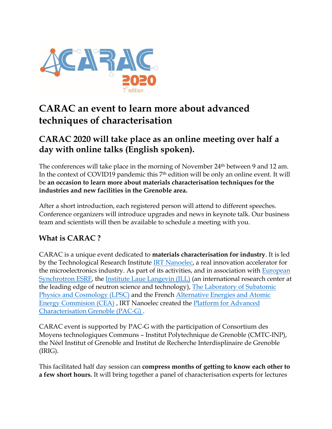

# **CARAC an event to learn more about advanced techniques of characterisation**

# **CARAC 2020 will take place as an online meeting over half a day with online talks (English spoken).**

The conferences will take place in the morning of November 24<sup>th</sup> between 9 and 12 am. In the context of COVID19 pandemic this 7th edition will be only an online event. It will be **an occasion to learn more about materials characterisation techniques for the industries and new facilities in the Grenoble area.**

After a short introduction, each registered person will attend to different speeches. Conference organizers will introduce upgrades and news in keynote talk. Our business team and scientists will then be available to schedule a meeting with you.

### **What is CARAC ?**

CARAC is a unique event dedicated to **materials characterisation for industry**. It is led by the Technological Research Institute [IRT Nanoelec,](http://www.irtnanoelec.fr/en/) a real innovation accelerator for the microelectronics industry. As part of its activities, and in association with [European](http://www.esrf.eu/cms/live/live/en/sites/www/home/about.html)  [Synchrotron ESRF,](http://www.esrf.eu/cms/live/live/en/sites/www/home/about.html) the Institute [Laue Langevin \(ILL\)](https://www.ill.eu/en/) (an international research center at the leading edge of neutron science and technology), [The Laboratory of Subatomic](http://lpsc.in2p3.fr/index.php/en/)  [Physics and Cosmology \(LPSC\)](http://lpsc.in2p3.fr/index.php/en/) and the French [Alternative Energies and Atomic](https://www.cea.fr/english)  [Energy Commision \(CEA\)](https://www.cea.fr/english) , IRT Nanoelec created the [Platform for Advanced](http://www.pac-grenoble.eu/)  [Characterisation Grenoble \(PAC-G\)](http://www.pac-grenoble.eu/) .

CARAC event is supported by PAC-G with the participation of Consortium des Moyens technologiques Communs – Institut Polytechnique de Grenoble (CMTC-INP), the Néel Institut of Grenoble and Institut de Recherche Interdisplinaire de Grenoble (IRIG).

This facilitated half day session can **compress months of getting to know each other to a few short hours.** It will bring together a panel of characterisation experts for lectures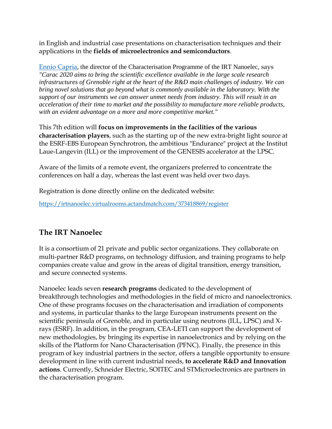in English and industrial case presentations on characterisation techniques and their applications in the **fields of microelectronics and semiconductors**.

[Ennio Capria,](https://www.linkedin.com/in/enniocapria/) the director of the Characterisation Programme of the IRT Nanoelec, says *"Carac 2020 aims to bring the scientific excellence available in the large scale research infrastructures of Grenoble right at the heart of the R&D main challenges of industry. We can bring novel solutions that go beyond what is commonly available in the laboratory. With the support of our instruments we can answer unmet needs from industry. This will result in an acceleration of their time to market and the possibility to manufacture more reliable products, with an evident advantage on a more and more competitive market."*

This 7th edition will **focus on improvements in the facilities of the various characterisation players**, such as the starting up of the new extra-bright light source at the ESRF-EBS European Synchrotron, the ambitious "Endurance" project at the Institut Laue-Langevin (ILL) or the improvement of the GENESIS accelerator at the LPSC.

Aware of the limits of a remote event, the organizers preferred to concentrate the conferences on half a day, whereas the last event was held over two days.

Registration is done directly online on the dedicated website:

https://irtnanoelec.virtualrooms.actandmatch.com/373418869/register

#### **The IRT Nanoelec**

It is a consortium of 21 private and public sector organizations. They collaborate on multi-partner R&D programs, on technology diffusion, and training programs to help companies create value and grow in the areas of digital transition, energy transition, and secure connected systems.

Nanoelec leads seven **research programs** dedicated to the development of breakthrough technologies and methodologies in the field of micro and nanoelectronics. One of these programs focuses on the characterisation and irradiation of components and systems, in particular thanks to the large European instruments present on the scientific peninsula of Grenoble, and in particular using neutrons (ILL, LPSC) and Xrays (ESRF). In addition, in the program, CEA-LETI can support the development of new methodologies, by bringing its expertise in nanoelectronics and by relying on the skills of the Platform for Nano Characterisation (PFNC). Finally, the presence in this program of key industrial partners in the sector, offers a tangible opportunity to ensure development in line with current industrial needs, **to accelerate R&D and Innovation actions**. Currently, Schneider Electric, SOITEC and STMicroelectronics are partners in the characterisation program.